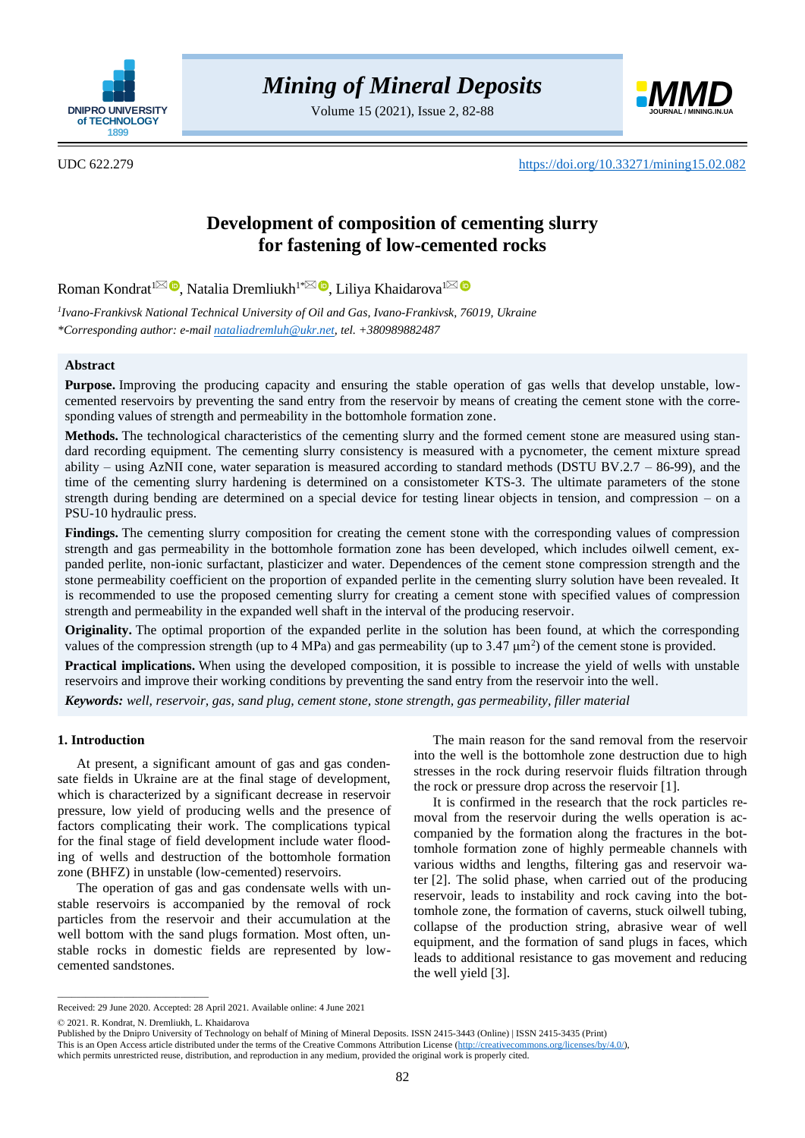

Volume 15 (2021), Issue 2, 82-88



UDC 622.279 <https://doi.org/10.33271/mining15.02.082>

# **Development of composition of cementing slurry for fastening of low-cemented rocks**

Roman Kondrat<sup>[1](mailto:lilya.matiishun@gmail.com)⊠</sup> ®[,](https://orcid.org/0000-0002-6991-0227) Natalia Dremliukh<sup>1[\\*](mailto:nataliadremluh@ukr.net)⊠ ®</sup>, Liliya Khaidarova<sup>1</sup>

*1 Ivano-Frankivsk National Technical University of Oil and Gas, Ivano-Frankivsk, 76019, Ukraine \*Corresponding author: e-mail [nataliadremluh@ukr.net,](mailto:nataliadremluh@ukr.net) tel. +380989882487*

## **Abstract**

**Purpose.** Improving the producing capacity and ensuring the stable operation of gas wells that develop unstable, lowcemented reservoirs by preventing the sand entry from the reservoir by means of creating the cement stone with the corresponding values of strength and permeability in the bottomhole formation zone.

**Methods.** The technological characteristics of the cementing slurry and the formed cement stone are measured using standard recording equipment. The cementing slurry consistency is measured with a pycnometer, the cement mixture spread ability – using AzNII cone, water separation is measured according to standard methods (DSTU BV.2.7 – 86-99), and the time of the cementing slurry hardening is determined on a consistometer KTS-3. The ultimate parameters of the stone strength during bending are determined on a special device for testing linear objects in tension, and compression – on a PSU-10 hydraulic press.

**Findings.** The cementing slurry composition for creating the cement stone with the corresponding values of compression strength and gas permeability in the bottomhole formation zone has been developed, which includes oilwell cement, expanded perlite, non-ionic surfactant, plasticizer and water. Dependences of the cement stone compression strength and the stone permeability coefficient on the proportion of expanded perlite in the cementing slurry solution have been revealed. It is recommended to use the proposed cementing slurry for creating a cement stone with specified values of compression strength and permeability in the expanded well shaft in the interval of the producing reservoir.

**Originality.** The optimal proportion of the expanded perlite in the solution has been found, at which the corresponding values of the compression strength (up to 4 MPa) and gas permeability (up to 3.47  $\mu$ m<sup>2</sup>) of the cement stone is provided.

**Practical implications.** When using the developed composition, it is possible to increase the yield of wells with unstable reservoirs and improve their working conditions by preventing the sand entry from the reservoir into the well.

*Keywords: well, reservoir, gas, sand plug, cement stone, stone strength, gas permeability, filler material*

## **1. Introduction**

At present, a significant amount of gas and gas condensate fields in Ukraine are at the final stage of development, which is characterized by a significant decrease in reservoir pressure, low yield of producing wells and the presence of factors complicating their work. The complications typical for the final stage of field development include water flooding of wells and destruction of the bottomhole formation zone (BHFZ) in unstable (low-cemented) reservoirs.

The operation of gas and gas condensate wells with unstable reservoirs is accompanied by the removal of rock particles from the reservoir and their accumulation at the well bottom with the sand plugs formation. Most often, unstable rocks in domestic fields are represented by lowcemented sandstones.

The main reason for the sand removal from the reservoir into the well is the bottomhole zone destruction due to high stresses in the rock during reservoir fluids filtration through the rock or pressure drop across the reservoir [\[1\].](#page-5-0)

It is confirmed in the research that the rock particles removal from the reservoir during the wells operation is accompanied by the formation along the fractures in the bottomhole formation zone of highly permeable channels with various widths and lengths, filtering gas and reservoir water [\[2\].](#page-5-1) The solid phase, when carried out of the producing reservoir, leads to instability and rock caving into the bottomhole zone, the formation of caverns, stuck oilwell tubing, collapse of the production string, abrasive wear of well equipment, and the formation of sand plugs in faces, which leads to additional resistance to gas movement and reducing the well yield [\[3\].](#page-5-2)

© 2021. R. Kondrat, N. Dremliukh, L. Khaidarova

 $\overline{\phantom{a}}$  ,  $\overline{\phantom{a}}$  ,  $\overline{\phantom{a}}$  ,  $\overline{\phantom{a}}$  ,  $\overline{\phantom{a}}$  ,  $\overline{\phantom{a}}$  ,  $\overline{\phantom{a}}$  ,  $\overline{\phantom{a}}$  ,  $\overline{\phantom{a}}$  ,  $\overline{\phantom{a}}$  ,  $\overline{\phantom{a}}$  ,  $\overline{\phantom{a}}$  ,  $\overline{\phantom{a}}$  ,  $\overline{\phantom{a}}$  ,  $\overline{\phantom{a}}$  ,  $\overline{\phantom{a}}$ 

Received: 29 June 2020. Accepted: 28 April 2021. Available online: 4 June 2021

Published by the Dnipro University of Technology on behalf of Mining of Mineral Deposits. ISSN 2415-3443 (Online) | ISSN 2415-3435 (Print)

This is an Open Access article distributed under the terms of the Creative Commons Attribution License [\(http://creativecommons.org/licenses/by/4.0/\)](http://creativecommons.org/licenses/by/4.0/),

which permits unrestricted reuse, distribution, and reproduction in any medium, provided the original work is properly cited.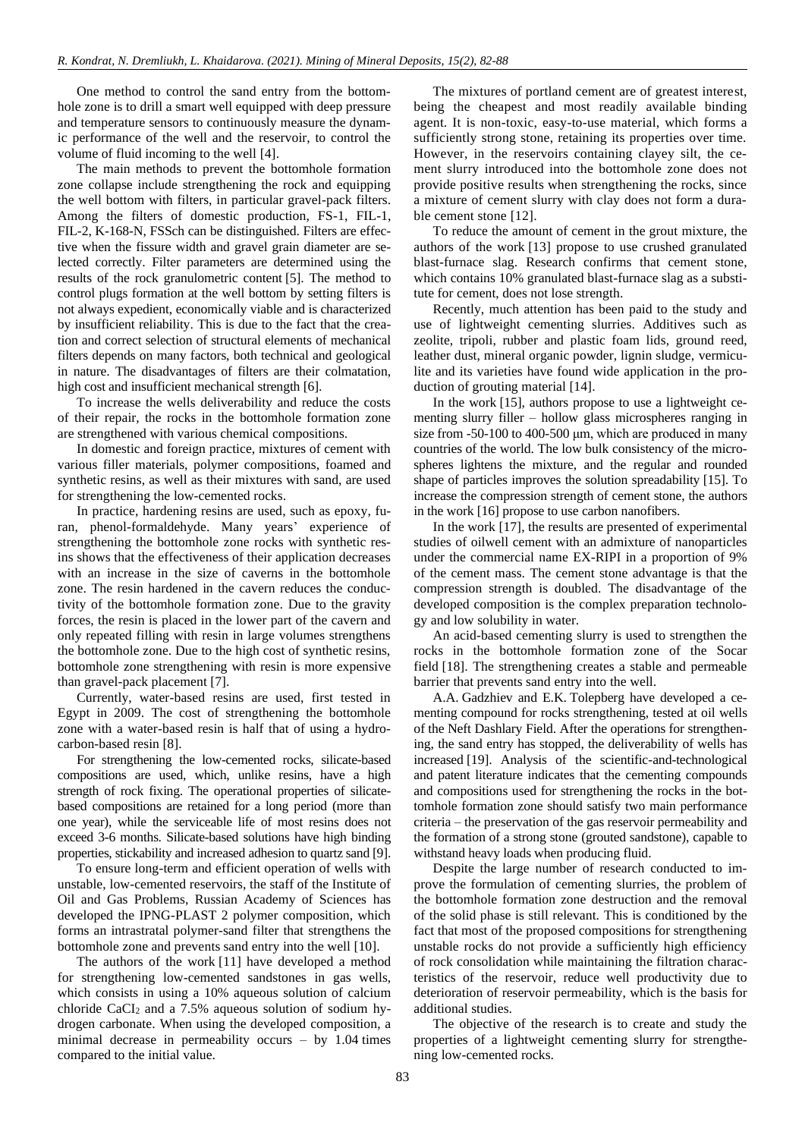One method to control the sand entry from the bottomhole zone is to drill a smart well equipped with deep pressure and temperature sensors to continuously measure the dynamic performance of the well and the reservoir, to control the volume of fluid incoming to the well [\[4\].](#page-5-3)

The main methods to prevent the bottomhole formation zone collapse include strengthening the rock and equipping the well bottom with filters, in particular gravel-pack filters. Among the filters of domestic production, FS-1, FIL-1, FIL-2, K-168-N, FSSch can be distinguished. Filters are effective when the fissure width and gravel grain diameter are selected correctly. Filter parameters are determined using the results of the rock granulometric content [\[5\].](#page-5-4) The method to control plugs formation at the well bottom by setting filters is not always expedient, economically viable and is characterized by insufficient reliability. This is due to the fact that the creation and correct selection of structural elements of mechanical filters depends on many factors, both technical and geological in nature. The disadvantages of filters are their colmatation, high cost and insufficient mechanical strength [\[6\].](#page-5-5)

To increase the wells deliverability and reduce the costs of their repair, the rocks in the bottomhole formation zone are strengthened with various chemical compositions.

In domestic and foreign practice, mixtures of cement with various filler materials, polymer compositions, foamed and synthetic resins, as well as their mixtures with sand, are used for strengthening the low-cemented rocks.

In practice, hardening resins are used, such as epoxy, furan, phenol-formaldehyde. Many years' experience of strengthening the bottomhole zone rocks with synthetic resins shows that the effectiveness of their application decreases with an increase in the size of caverns in the bottomhole zone. The resin hardened in the cavern reduces the conductivity of the bottomhole formation zone. Due to the gravity forces, the resin is placed in the lower part of the cavern and only repeated filling with resin in large volumes strengthens the bottomhole zone. Due to the high cost of synthetic resins, bottomhole zone strengthening with resin is more expensive than gravel-pack placement [\[7\].](#page-5-6)

Currently, water-based resins are used, first tested in Egypt in 2009. The cost of strengthening the bottomhole zone with a water-based resin is half that of using a hydrocarbon-based resin [\[8\].](#page-5-7)

For strengthening the low-cemented rocks, silicate-based compositions are used, which, unlike resins, have a high strength of rock fixing. The operational properties of silicatebased compositions are retained for a long period (more than one year), while the serviceable life of most resins does not exceed 3-6 months. Silicate-based solutions have high binding properties, stickability and increased adhesion to quartz sand [\[9\].](#page-5-8)

To ensure long-term and efficient operation of wells with unstable, low-cemented reservoirs, the staff of the Institute of Oil and Gas Problems, Russian Academy of Sciences has developed the IPNG-PLAST 2 polymer composition, which forms an intrastratal polymer-sand filter that strengthens the bottomhole zone and prevents sand entry into the well [\[10\].](#page-5-9)

The authors of the work [\[11\]](#page-5-10) have developed a method for strengthening low-cemented sandstones in gas wells, which consists in using a 10% aqueous solution of calcium chloride  $CaCl<sub>2</sub>$  and a 7.5% aqueous solution of sodium hydrogen carbonate. When using the developed composition, a minimal decrease in permeability occurs – by 1.04 times compared to the initial value.

The mixtures of portland cement are of greatest interest, being the cheapest and most readily available binding agent. It is non-toxic, easy-to-use material, which forms a sufficiently strong stone, retaining its properties over time. However, in the reservoirs containing clayey silt, the cement slurry introduced into the bottomhole zone does not provide positive results when strengthening the rocks, since a mixture of cement slurry with clay does not form a durable cement stone [\[12\].](#page-5-11)

To reduce the amount of cement in the grout mixture, the authors of the work [\[13\]](#page-5-12) propose to use crushed granulated blast-furnace slag. Research confirms that cement stone, which contains 10% granulated blast-furnace slag as a substitute for cement, does not lose strength.

Recently, much attention has been paid to the study and use of lightweight cementing slurries. Additives such as zeolite, tripoli, rubber and plastic foam lids, ground reed, leather dust, mineral organic powder, lignin sludge, vermiculite and its varieties have found wide application in the production of grouting material [\[14\].](#page-5-13)

In the work [\[15\],](#page-5-14) authors propose to use a lightweight cementing slurry filler – hollow glass microspheres ranging in size from -50-100 to 400-500 μm, which are produced in many countries of the world. The low bulk consistency of the microspheres lightens the mixture, and the regular and rounded shape of particles improves the solution spreadability [\[15\].](#page-5-14) To increase the compression strength of cement stone, the authors in the work [\[16\]](#page-5-15) propose to use carbon nanofibers.

In the work [\[17\],](#page-5-16) the results are presented of experimental studies of oilwell cement with an admixture of nanoparticles under the commercial name EX-RIPI in a proportion of 9% of the cement mass. The cement stone advantage is that the compression strength is doubled. The disadvantage of the developed composition is the complex preparation technology and low solubility in water.

An acid-based cementing slurry is used to strengthen the rocks in the bottomhole formation zone of the Socar field [\[18\].](#page-5-17) The strengthening creates a stable and permeable barrier that prevents sand entry into the well.

A.A. Gadzhiev and E.K. Tolepberg have developed a cementing compound for rocks strengthening, tested at oil wells of the Neft Dashlary Field. After the operations for strengthening, the sand entry has stopped, the deliverability of wells has increased [\[19\].](#page-5-18) Analysis of the scientific-and-technological and patent literature indicates that the cementing compounds and compositions used for strengthening the rocks in the bottomhole formation zone should satisfy two main performance criteria – the preservation of the gas reservoir permeability and the formation of a strong stone (grouted sandstone), capable to withstand heavy loads when producing fluid.

Despite the large number of research conducted to improve the formulation of cementing slurries, the problem of the bottomhole formation zone destruction and the removal of the solid phase is still relevant. This is conditioned by the fact that most of the proposed compositions for strengthening unstable rocks do not provide a sufficiently high efficiency of rock consolidation while maintaining the filtration characteristics of the reservoir, reduce well productivity due to deterioration of reservoir permeability, which is the basis for additional studies.

The objective of the research is to create and study the properties of a lightweight cementing slurry for strengthening low-cemented rocks.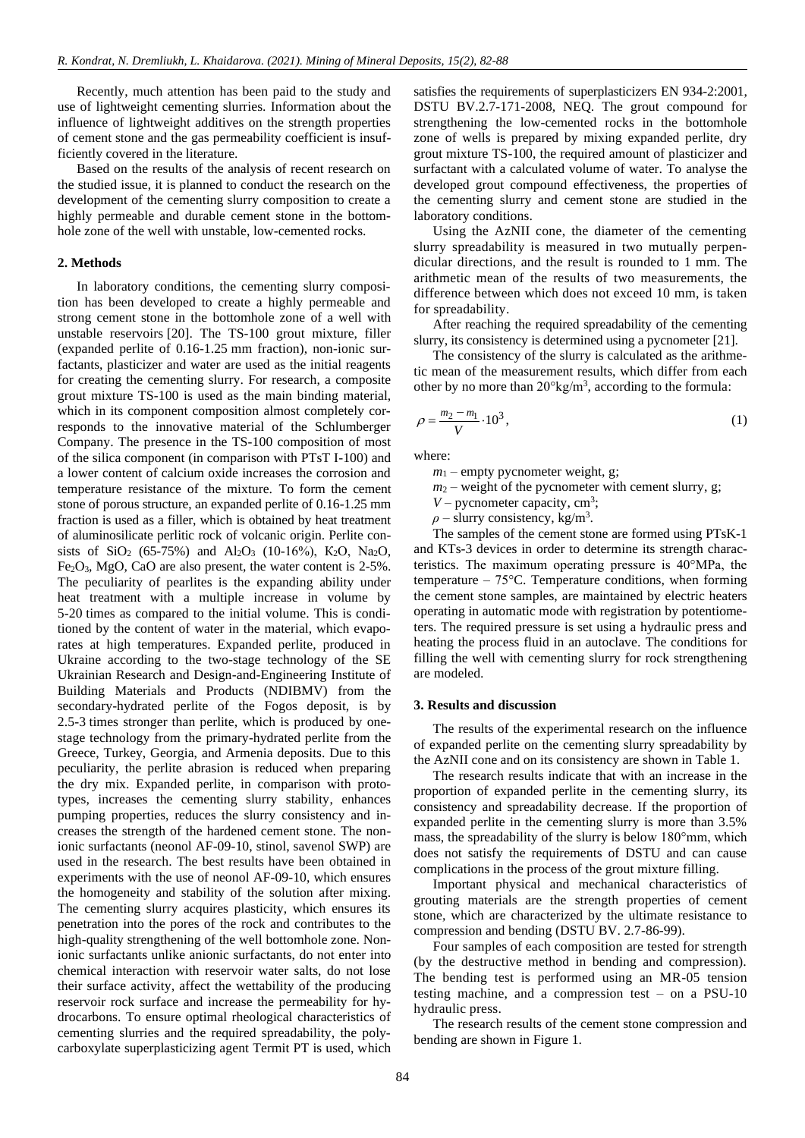Recently, much attention has been paid to the study and use of lightweight cementing slurries. Information about the influence of lightweight additives on the strength properties of cement stone and the gas permeability coefficient is insufficiently covered in the literature.

Based on the results of the analysis of recent research on the studied issue, it is planned to conduct the research on the development of the cementing slurry composition to create a highly permeable and durable cement stone in the bottomhole zone of the well with unstable, low-cemented rocks.

## **2. Methods**

In laboratory conditions, the cementing slurry composition has been developed to create a highly permeable and strong cement stone in the bottomhole zone of a well with unstable reservoirs [\[20\].](#page-5-19) The TS-100 grout mixture, filler (expanded perlite of 0.16-1.25 mm fraction), non-ionic surfactants, plasticizer and water are used as the initial reagents for creating the cementing slurry. For research, a composite grout mixture TS-100 is used as the main binding material, which in its component composition almost completely corresponds to the innovative material of the Schlumberger Company. The presence in the TS-100 composition of most of the silica component (in comparison with PTsT I-100) and a lower content of calcium oxide increases the corrosion and temperature resistance of the mixture. To form the cement stone of porous structure, an expanded perlite of 0.16-1.25 mm fraction is used as a filler, which is obtained by heat treatment of aluminosilicate perlitic rock of volcanic origin. Perlite consists of SiO<sub>2</sub> (65-75%) and Al<sub>2</sub>O<sub>3</sub> (10-16%), K<sub>2</sub>O, Na<sub>2</sub>O,  $Fe<sub>2</sub>O<sub>3</sub>$ , MgO, CaO are also present, the water content is 2-5%. The peculiarity of pearlites is the expanding ability under heat treatment with a multiple increase in volume by 5-20 times as compared to the initial volume. This is conditioned by the content of water in the material, which evaporates at high temperatures. Expanded perlite, produced in Ukraine according to the two-stage technology of the SE Ukrainian Research and Design-and-Engineering Institute of Building Materials and Products (NDIBMV) from the secondary-hydrated perlite of the Fogos deposit, is by 2.5-3 times stronger than perlite, which is produced by onestage technology from the primary-hydrated perlite from the Greece, Turkey, Georgia, and Armenia deposits. Due to this peculiarity, the perlite abrasion is reduced when preparing the dry mix. Expanded perlite, in comparison with prototypes, increases the cementing slurry stability, enhances pumping properties, reduces the slurry consistency and increases the strength of the hardened cement stone. The nonionic surfactants (neonol AF-09-10, stinol, savenol SWP) are used in the research. The best results have been obtained in experiments with the use of neonol AF-09-10, which ensures the homogeneity and stability of the solution after mixing. The cementing slurry acquires plasticity, which ensures its penetration into the pores of the rock and contributes to the high-quality strengthening of the well bottomhole zone. Nonionic surfactants unlike anionic surfactants, do not enter into chemical interaction with reservoir water salts, do not lose their surface activity, affect the wettability of the producing reservoir rock surface and increase the permeability for hydrocarbons. To ensure optimal rheological characteristics of cementing slurries and the required spreadability, the polycarboxylate superplasticizing agent Termit PT is used, which

satisfies the requirements of superplasticizers EN 934-2:2001, DSTU BV.2.7-171-2008, NEQ. The grout compound for strengthening the low-cemented rocks in the bottomhole zone of wells is prepared by mixing expanded perlite, dry grout mixture TS-100, the required amount of plasticizer and surfactant with a calculated volume of water. To analyse the developed grout compound effectiveness, the properties of the cementing slurry and cement stone are studied in the laboratory conditions.

Using the AzNII cone, the diameter of the cementing slurry spreadability is measured in two mutually perpendicular directions, and the result is rounded to 1 mm. The arithmetic mean of the results of two measurements, the difference between which does not exceed 10 mm, is taken for spreadability.

After reaching the required spreadability of the cementing slurry, its consistency is determined using a pycnometer [\[21\].](#page-5-20)

The consistency of the slurry is calculated as the arithmetic mean of the measurement results, which differ from each other by no more than  $20^{\circ}$ kg/m<sup>3</sup>, according to the formula:

$$
\rho = \frac{m_2 - m_1}{V} \cdot 10^3,\tag{1}
$$

where:

 $m_1$  – empty pycnometer weight, g;

- $m_2$  weight of the pycnometer with cement slurry, g;
- $V$  pycnometer capacity, cm<sup>3</sup>;

 $\rho$  – slurry consistency, kg/m<sup>3</sup>.

The samples of the cement stone are formed using PTsK-1 and KTs-3 devices in order to determine its strength characteristics. The maximum operating pressure is 40°MPa, the temperature –  $75^{\circ}$ C. Temperature conditions, when forming the cement stone samples, are maintained by electric heaters operating in automatic mode with registration by potentiometers. The required pressure is set using a hydraulic press and heating the process fluid in an autoclave. The conditions for filling the well with cementing slurry for rock strengthening are modeled.

#### **3. Results and discussion**

The results of the experimental research on the influence of expanded perlite on the cementing slurry spreadability by the AzNII cone and on its consistency are shown in Table 1.

The research results indicate that with an increase in the proportion of expanded perlite in the cementing slurry, its consistency and spreadability decrease. If the proportion of expanded perlite in the cementing slurry is more than 3.5% mass, the spreadability of the slurry is below 180°mm, which does not satisfy the requirements of DSTU and can cause complications in the process of the grout mixture filling.

Important physical and mechanical characteristics of grouting materials are the strength properties of cement stone, which are characterized by the ultimate resistance to compression and bending (DSTU BV. 2.7-86-99).

Four samples of each composition are tested for strength (by the destructive method in bending and compression). The bending test is performed using an MR-05 tension testing machine, and a compression test – on a PSU-10 hydraulic press.

The research results of the cement stone compression and bending are shown in Figure 1.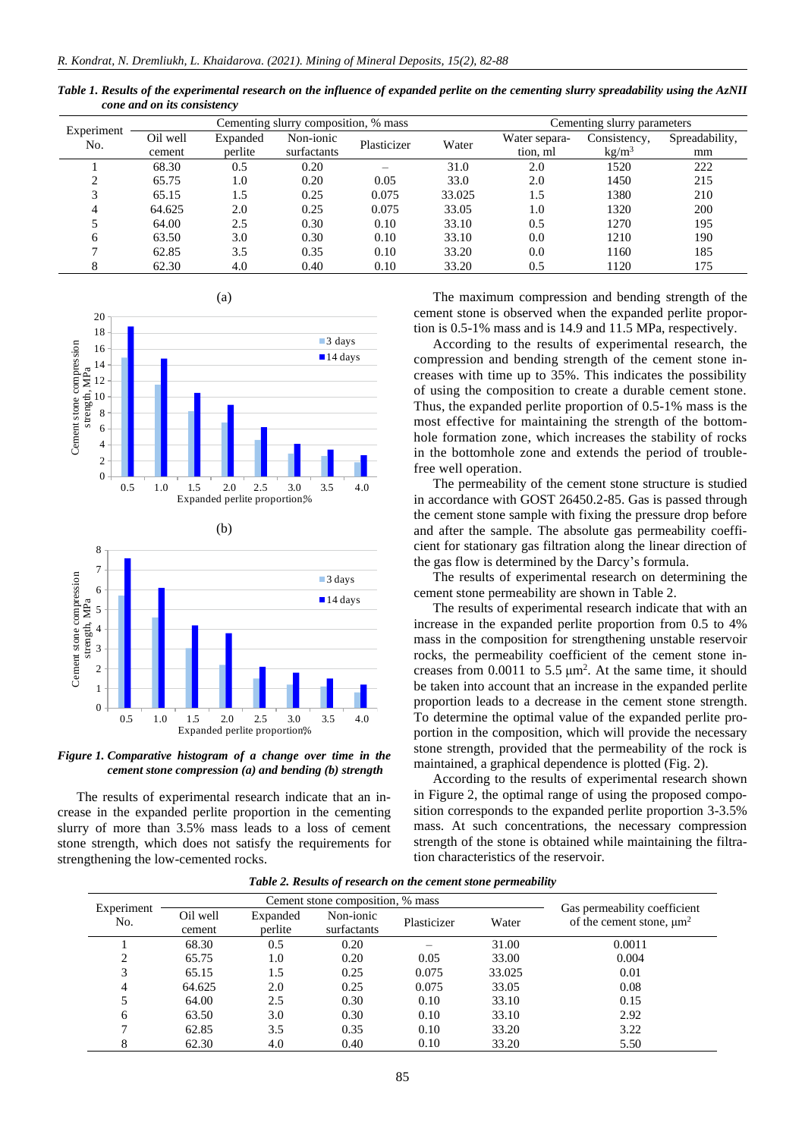*Table 1. Results of the experimental research on the influence of expanded perlite on the cementing slurry spreadability using the AzNII cone and on its consistency*

| Experiment<br>No. |          |          | Cementing slurry composition, % mass | Cementing slurry parameters |        |               |                   |                |
|-------------------|----------|----------|--------------------------------------|-----------------------------|--------|---------------|-------------------|----------------|
|                   | Oil well | Expanded | Non-ionic                            | Plasticizer                 | Water  | Water separa- | Consistency,      | Spreadability, |
|                   | cement   | perlite  | surfactants                          |                             |        | tion, ml      | kg/m <sup>3</sup> | mm             |
|                   | 68.30    | 0.5      | 0.20                                 |                             | 31.0   | 2.0           | 1520              | 222            |
|                   | 65.75    | 1.0      | 0.20                                 | 0.05                        | 33.0   | 2.0           | 1450              | 215            |
| 3                 | 65.15    | 1.5      | 0.25                                 | 0.075                       | 33.025 | 1.5           | 1380              | 210            |
| 4                 | 64.625   | 2.0      | 0.25                                 | 0.075                       | 33.05  | 1.0           | 1320              | 200            |
|                   | 64.00    | 2.5      | 0.30                                 | 0.10                        | 33.10  | 0.5           | 1270              | 195            |
| 6                 | 63.50    | 3.0      | 0.30                                 | 0.10                        | 33.10  | 0.0           | 1210              | 190            |
|                   | 62.85    | 3.5      | 0.35                                 | 0.10                        | 33.20  | 0.0           | 1160              | 185            |
|                   | 62.30    | 4.0      | 0.40                                 | 0.10                        | 33.20  | 0.5           | 1120              | 175            |





*Figure 1. Comparative histogram of a change over time in the cement stone compression (a) and bending (b) strength*

The results of experimental research indicate that an increase in the expanded perlite proportion in the cementing slurry of more than 3.5% mass leads to a loss of cement stone strength, which does not satisfy the requirements for strengthening the low-cemented rocks.

The maximum compression and bending strength of the cement stone is observed when the expanded perlite proportion is 0.5-1% mass and is 14.9 and 11.5 MPa, respectively.

According to the results of experimental research, the compression and bending strength of the cement stone increases with time up to 35%. This indicates the possibility of using the composition to create a durable cement stone. Thus, the expanded perlite proportion of 0.5-1% mass is the most effective for maintaining the strength of the bottomhole formation zone, which increases the stability of rocks in the bottomhole zone and extends the period of troublefree well operation.

The permeability of the cement stone structure is studied in accordance with GOST 26450.2-85. Gas is passed through the cement stone sample with fixing the pressure drop before and after the sample. The absolute gas permeability coefficient for stationary gas filtration along the linear direction of the gas flow is determined by the Darcy's formula.

The results of experimental research on determining the cement stone permeability are shown in Table 2.

The results of experimental research indicate that with an increase in the expanded perlite proportion from 0.5 to 4% mass in the composition for strengthening unstable reservoir rocks, the permeability coefficient of the cement stone increases from  $0.0011$  to  $5.5 \mu m^2$ . At the same time, it should be taken into account that an increase in the expanded perlite proportion leads to a decrease in the cement stone strength. To determine the optimal value of the expanded perlite proportion in the composition, which will provide the necessary stone strength, provided that the permeability of the rock is maintained, a graphical dependence is plotted (Fig. 2).

According to the results of experimental research shown in Figure 2, the optimal range of using the proposed composition corresponds to the expanded perlite proportion 3-3.5% mass. At such concentrations, the necessary compression strength of the stone is obtained while maintaining the filtration characteristics of the reservoir.

| Table 2. Results of research on the cement stone permeability |
|---------------------------------------------------------------|
|                                                               |

| Experiment<br>No. |                    | Cement stone composition, % mass | Gas permeability coefficient |             |        |                                           |
|-------------------|--------------------|----------------------------------|------------------------------|-------------|--------|-------------------------------------------|
|                   | Oil well<br>cement | Expanded<br>perlite              | Non-ionic<br>surfactants     | Plasticizer | Water  | of the cement stone, $\mu$ m <sup>2</sup> |
|                   | 68.30              | 0.5                              | 0.20                         |             | 31.00  | 0.0011                                    |
| ∍                 | 65.75              | 1.0                              | 0.20                         | 0.05        | 33.00  | 0.004                                     |
| 3                 | 65.15              | 1.5                              | 0.25                         | 0.075       | 33.025 | 0.01                                      |
|                   | 64.625             | 2.0                              | 0.25                         | 0.075       | 33.05  | 0.08                                      |
|                   | 64.00              | 2.5                              | 0.30                         | 0.10        | 33.10  | 0.15                                      |
| 6                 | 63.50              | 3.0                              | 0.30                         | 0.10        | 33.10  | 2.92                                      |
|                   | 62.85              | 3.5                              | 0.35                         | 0.10        | 33.20  | 3.22                                      |
| 8                 | 62.30              | 4.0                              | 0.40                         | 0.10        | 33.20  | 5.50                                      |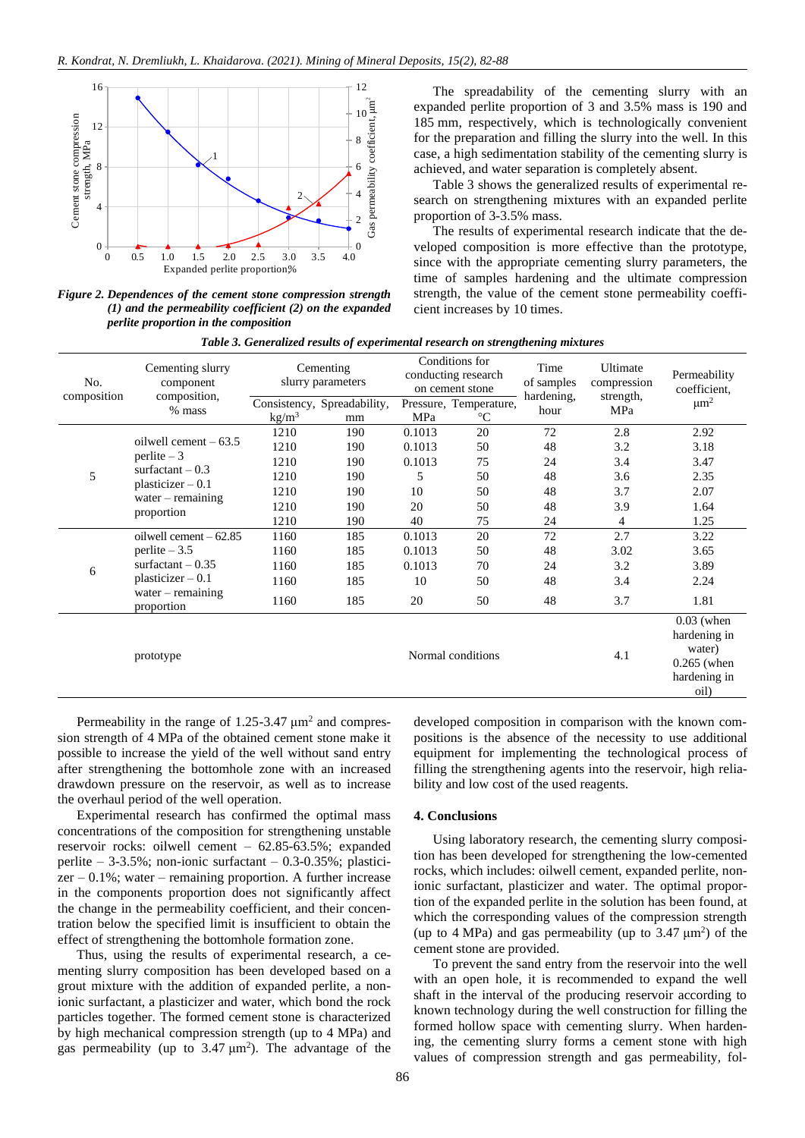

*Figure 2. Dependences of the cement stone compression strength (1) and the permeability coefficient (2) on the expanded perlite proportion in the composition*

The spreadability of the cementing slurry with an expanded perlite proportion of 3 and 3.5% mass is 190 and 185 mm, respectively, which is technologically convenient for the preparation and filling the slurry into the well. In this case, a high sedimentation stability of the cementing slurry is achieved, and water separation is completely absent.

Table 3 shows the generalized results of experimental research on strengthening mixtures with an expanded perlite proportion of 3-3.5% mass.

The results of experimental research indicate that the developed composition is more effective than the prototype, since with the appropriate cementing slurry parameters, the time of samples hardening and the ultimate compression strength, the value of the cement stone permeability coefficient increases by 10 times.

|  |  |  |  |  | Table 3. Generalized results of experimental research on strengthening mixtures |  |
|--|--|--|--|--|---------------------------------------------------------------------------------|--|
|--|--|--|--|--|---------------------------------------------------------------------------------|--|

| No.<br>composition | Cementing slurry<br>component<br>composition,                                                                           | Cementing<br>slurry parameters |                                   | Conditions for<br>conducting research<br>on cement stone |                                           | Time<br>of samples<br>hardening, | Ultimate<br>compression | Permeability<br>coefficient,                                                    |
|--------------------|-------------------------------------------------------------------------------------------------------------------------|--------------------------------|-----------------------------------|----------------------------------------------------------|-------------------------------------------|----------------------------------|-------------------------|---------------------------------------------------------------------------------|
|                    | % mass                                                                                                                  | $\text{kg/m}^3$                | Consistency, Spreadability,<br>mm | MPa                                                      | Pressure, Temperature,<br>$\rm ^{\circ}C$ | hour                             | strength,<br>MPa        | $\mu$ m <sup>2</sup>                                                            |
| 5                  | oilwell cement $-63.5$<br>$perlit$ = 3<br>surfactant $-0.3$<br>$plasticizer - 0.1$<br>water $-$ remaining<br>proportion | 1210                           | 190                               | 0.1013                                                   | 20                                        | 72                               | 2.8                     | 2.92                                                                            |
|                    |                                                                                                                         | 1210                           | 190                               | 0.1013                                                   | 50                                        | 48                               | 3.2                     | 3.18                                                                            |
|                    |                                                                                                                         | 1210                           | 190                               | 0.1013                                                   | 75                                        | 24                               | 3.4                     | 3.47                                                                            |
|                    |                                                                                                                         | 1210                           | 190                               | 5                                                        | 50                                        | 48                               | 3.6                     | 2.35                                                                            |
|                    |                                                                                                                         | 1210                           | 190                               | 10                                                       | 50                                        | 48                               | 3.7                     | 2.07                                                                            |
|                    |                                                                                                                         | 1210                           | 190                               | 20                                                       | 50                                        | 48                               | 3.9                     | 1.64                                                                            |
|                    |                                                                                                                         | 1210                           | 190                               | 40                                                       | 75                                        | 24                               | 4                       | 1.25                                                                            |
|                    | oilwell cement $-62.85$                                                                                                 | 1160                           | 185                               | 0.1013                                                   | 20                                        | 72                               | 2.7                     | 3.22                                                                            |
|                    | perlite $-3.5$<br>surfactant $-0.35$<br>$plasticizer - 0.1$                                                             | 1160                           | 185                               | 0.1013                                                   | 50                                        | 48                               | 3.02                    | 3.65                                                                            |
| 6                  |                                                                                                                         | 1160                           | 185                               | 0.1013                                                   | 70                                        | 24                               | 3.2                     | 3.89                                                                            |
|                    |                                                                                                                         | 1160                           | 185                               | 10                                                       | 50                                        | 48                               | 3.4                     | 2.24                                                                            |
|                    | water $-$ remaining<br>proportion                                                                                       | 1160                           | 185                               | 20                                                       | 50                                        | 48                               | 3.7                     | 1.81                                                                            |
|                    | prototype                                                                                                               |                                |                                   |                                                          | Normal conditions                         |                                  | 4.1                     | $0.03$ (when<br>hardening in<br>water)<br>$0.265$ (when<br>hardening in<br>oil) |

Permeability in the range of  $1.25 - 3.47 \mu m^2$  and compression strength of 4 MPa of the obtained cement stone make it possible to increase the yield of the well without sand entry after strengthening the bottomhole zone with an increased drawdown pressure on the reservoir, as well as to increase the overhaul period of the well operation.

Experimental research has confirmed the optimal mass concentrations of the composition for strengthening unstable reservoir rocks: oilwell cement – 62.85-63.5%; expanded perlite – 3-3.5%; non-ionic surfactant –  $0.3$ - $0.35$ %; plastici $zer -0.1\%$ ; water – remaining proportion. A further increase in the components proportion does not significantly affect the change in the permeability coefficient, and their concentration below the specified limit is insufficient to obtain the effect of strengthening the bottomhole formation zone.

Thus, using the results of experimental research, a cementing slurry composition has been developed based on a grout mixture with the addition of expanded perlite, a nonionic surfactant, a plasticizer and water, which bond the rock particles together. The formed cement stone is characterized by high mechanical compression strength (up to 4 MPa) and gas permeability (up to  $3.47 \text{ }\mu\text{m}^2$ ). The advantage of the developed composition in comparison with the known compositions is the absence of the necessity to use additional equipment for implementing the technological process of filling the strengthening agents into the reservoir, high reliability and low cost of the used reagents.

#### **4. Conclusions**

Using laboratory research, the cementing slurry composition has been developed for strengthening the low-cemented rocks, which includes: oilwell cement, expanded perlite, nonionic surfactant, plasticizer and water. The optimal proportion of the expanded perlite in the solution has been found, at which the corresponding values of the compression strength (up to  $4 \text{ MPa}$ ) and gas permeability (up to  $3.47 \text{ }\mu\text{m}^2$ ) of the cement stone are provided.

To prevent the sand entry from the reservoir into the well with an open hole, it is recommended to expand the well shaft in the interval of the producing reservoir according to known technology during the well construction for filling the formed hollow space with cementing slurry. When hardening, the cementing slurry forms a cement stone with high values of compression strength and gas permeability, fol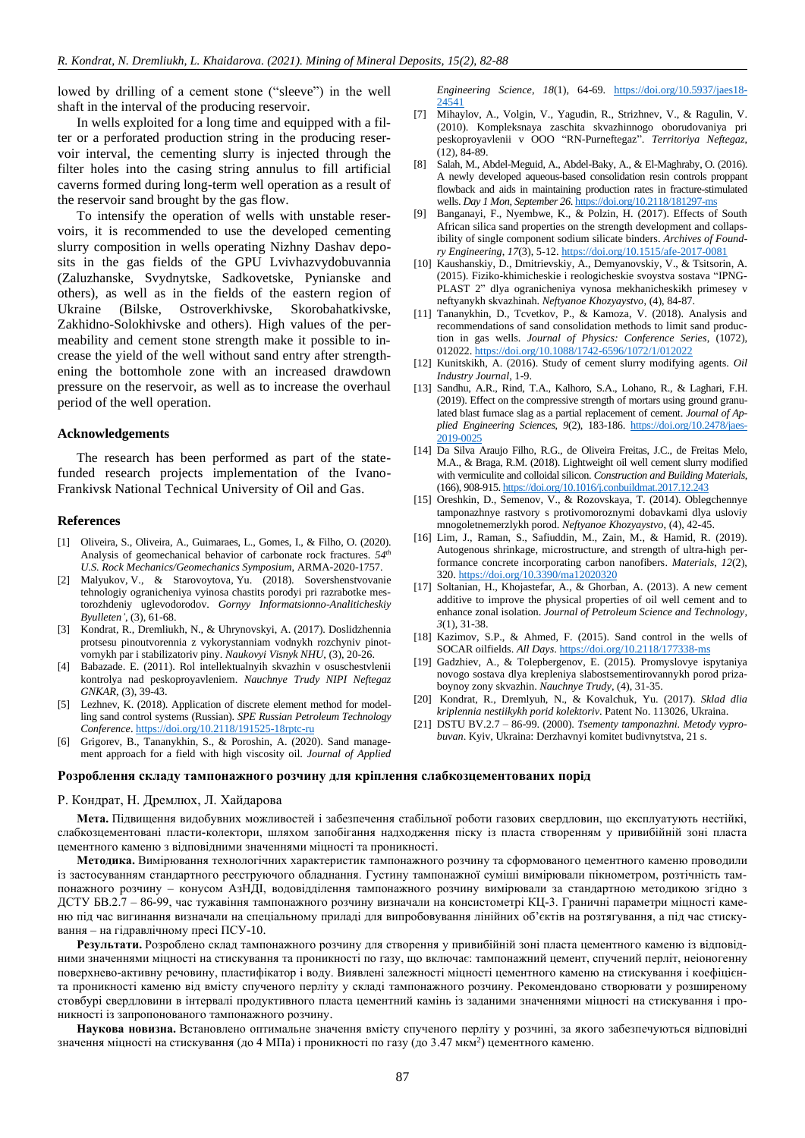lowed by drilling of a cement stone ("sleeve") in the well shaft in the interval of the producing reservoir.

In wells exploited for a long time and equipped with a filter or a perforated production string in the producing reservoir interval, the cementing slurry is injected through the filter holes into the casing string annulus to fill artificial caverns formed during long-term well operation as a result of the reservoir sand brought by the gas flow.

To intensify the operation of wells with unstable reservoirs, it is recommended to use the developed cementing slurry composition in wells operating Nizhny Dashav deposits in the gas fields of the GPU Lvivhazvydobuvannia (Zaluzhanske, Svydnytske, Sadkovetske, Pynianske and others), as well as in the fields of the eastern region of Ukraine (Bilske, Ostroverkhivske, Skorobahatkivske, Zakhidno-Solokhivske and others). High values of the permeability and cement stone strength make it possible to increase the yield of the well without sand entry after strengthening the bottomhole zone with an increased drawdown pressure on the reservoir, as well as to increase the overhaul period of the well operation.

## **Acknowledgements**

The research has been performed as part of the statefunded research projects implementation of the Ivano-Frankivsk National Technical University of Oil and Gas.

#### **References**

- <span id="page-5-0"></span>[1] Oliveira, S., Oliveira, A., Guimaraes, L., Gomes, I., & Filho, O. (2020). Analysis of geomechanical behavior of carbonate rock fractures. *54th U.S. Rock Mechanics/Geomechanics Symposium*, ARMA-2020-1757.
- <span id="page-5-1"></span>[2] Malyukov, V., & Starovoytova, Yu. (2018). Sovershenstvovanie tehnologiy ogranicheniya vyinosa chastits porodyi pri razrabotke mestorozhdeniy uglevodorodov. *Gornyy Informatsionno-Analiticheskiy Byulleten'*, (3), 61-68.
- <span id="page-5-2"></span>[3] Kondrat, R., Dremliukh, N., & Uhrynovskyi, A. (2017). Doslidzhennia protsesu pinoutvorennia z vykorystanniam vodnykh rozchyniv pinotvornykh par i stabilizatoriv piny. *Naukovyi Visnyk NHU*, (3), 20-26.
- <span id="page-5-3"></span>[4] Babazade. E. (2011). Rol intellektualnyih skvazhin v osuschestvlenii kontrolya nad peskoproyavleniem. *Nauchnye Trudy NIPI Neftegaz GNKAR*, (3), 39-43.
- <span id="page-5-4"></span>[5] Lezhnev, K. (2018). Application of discrete element method for modelling sand control systems (Russian). *SPE Russian Petroleum Technology Conference*[. https://doi.org/10.2118/191525-18rptc-ru](https://doi.org/10.2118/191525-18rptc-ru)
- <span id="page-5-5"></span>[6] Grigorev, B., Tananykhin, S., & Poroshin, A. (2020). Sand management approach for a field with high viscosity oil. *Journal of Applied*

*Engineering Science*, *18*(1), 64-69. [https://doi.org/10.5937/jaes18-](https://doi.org/10.5937/jaes18-24541) [24541](https://doi.org/10.5937/jaes18-24541)

- <span id="page-5-6"></span>[7] Mihaylov, A., Volgin, V., Yagudin, R., Strizhnev, V., & Ragulin, V. (2010). Kompleksnaya zaschita skvazhinnogo oborudovaniya pri peskoproyavlenii v OOO "RN-Purneftegaz". *Territoriya Neftegaz*, (12), 84-89.
- <span id="page-5-7"></span>[8] Salah, M., Abdel-Meguid, A., Abdel-Baky, A., & El-Maghraby, O. (2016). A newly developed aqueous-based consolidation resin controls proppant flowback and aids in maintaining production rates in fracture-stimulated wells. *Day 1 Mon, September 26*[. https://doi.org/10.2118/181297-ms](https://doi.org/10.2118/181297-ms)
- <span id="page-5-8"></span>[9] Banganayi, F., Nyembwe, K., & Polzin, H. (2017). Effects of South African silica sand properties on the strength development and collapsibility of single component sodium silicate binders. *Archives of Foundry Engineering*, *17*(3), 5-12[. https://doi.org/10.1515/afe-2017-0081](https://doi.org/10.1515/afe-2017-0081)
- <span id="page-5-9"></span>[10] Kaushanskiy, D., Dmitrievskiy, A., Demyanovskiy, V., & Tsitsorin, A. (2015). Fiziko-khimicheskie i reologicheskie svoystva sostava "IPNG-PLAST 2" dlya ogranicheniya vynosa mekhanicheskikh primesey v neftyanykh skvazhinah. *Neftyanoe Khozyaystvo*, (4), 84-87.
- <span id="page-5-10"></span>[11] Tananykhin, D., Tcvetkov, P., & Kamoza, V. (2018). Analysis and recommendations of sand consolidation methods to limit sand production in gas wells. *Journal of Physics: Conference Series*, (1072), 012022[. https://doi.org/10.1088/1742-6596/1072/1/012022](https://doi.org/10.1088/1742-6596/1072/1/012022)
- <span id="page-5-11"></span>[12] Kunitskikh, A. (2016). Study of cement slurry modifying agents. *Oil Industry Journal*, 1-9.
- <span id="page-5-12"></span>[13] Sandhu, A.R., Rind, T.A., Kalhoro, S.A., Lohano, R., & Laghari, F.H. (2019). Effect on the compressive strength of mortars using ground granulated blast furnace slag as a partial replacement of cement. *Journal of Applied Engineering Sciences*, *9*(2), 183-186. [https://doi.org/10.2478/jaes-](https://doi.org/10.2478/jaes-2019-0025)[2019-0025](https://doi.org/10.2478/jaes-2019-0025)
- <span id="page-5-13"></span>[14] Da Silva Araujo Filho, R.G., de Oliveira Freitas, J.C., de Freitas Melo, M.A., & Braga, R.M. (2018). Lightweight oil well cement slurry modified with vermiculite and colloidal silicon. *Construction and Building Materials*, (166), 908-915[. https://doi.org/10.1016/j.conbuildmat.2017.12.243](https://doi.org/10.1016/j.conbuildmat.2017.12.243)
- <span id="page-5-14"></span>[15] Oreshkin, D., Semenov, V., & Rozovskaya, T. (2014). Oblegchennye tamponazhnye rastvory s protivomoroznymi dobavkami dlya usloviy mnogoletnemerzlykh porod. *Neftyanoe Khozyaystvo*, (4), 42-45.
- <span id="page-5-15"></span>[16] Lim, J., Raman, S., Safiuddin, M., Zain, M., & Hamid, R. (2019). Autogenous shrinkage, microstructure, and strength of ultra-high performance concrete incorporating carbon nanofibers. *Materials*, *12*(2), 320[. https://doi.org/10.3390/ma12020320](https://doi.org/10.3390/ma12020320)
- <span id="page-5-16"></span>[17] Soltanian, H., Khojastefar, A., & Ghorban, A. (2013). A new cement additive to improve the physical properties of oil well cement and to enhance zonal isolation. *Journal of Petroleum Science and Technology*, *3*(1), 31-38.
- <span id="page-5-17"></span>[18] Kazimov, S.P., & Ahmed, F. (2015). Sand control in the wells of SOCAR oilfields. *All Days*.<https://doi.org/10.2118/177338-ms>
- <span id="page-5-18"></span>[19] Gadzhiev, A., & Tolepbergenov, E. (2015). Promyslovye ispytaniya novogo sostava dlya krepleniya slabostsementirovannykh porod prizaboynoy zony skvazhin. *Nauchnye Trudy*, (4), 31-35.
- <span id="page-5-19"></span>[20] Kondrat, R., Dremlyuh, N., & Kovalchuk, Yu. (2017). *Sklad dlia kriplennia nestiikykh porid kolektoriv*. Patent No. 113026, Ukraina.
- <span id="page-5-20"></span>[21] DSTU BV.2.7 – 86-99. (2000). *Tsementy tamponazhni. Metody vyprobuvan*. Kyiv, Ukraina: Derzhavnyi komitet budivnytstva, 21 s.

#### **Розроблення складу тампонажного розчину для кріплення слабкозцементованих порід**

#### Р. Кондрат, Н. Дремлюх, Л. Хайдарова

**Мета.** Підвищення видобувних можливостей і забезпечення стабільної роботи газових свердловин, що експлуатують нестійкі, слабкозцементовані пласти-колектори, шляхом запобігання надходження піску із пласта створенням у привибійній зоні пласта цементного каменю з відповідними значеннями міцності та проникності.

**Методика.** Вимірювання технологічних характеристик тампонажного розчину та сформованого цементного каменю проводили із застосуванням стандартного реєструючого обладнання. Густину тампонажної суміші вимірювали пікнометром, розтічність тампонажного розчину – конусом АзНДІ, водовідділення тампонажного розчину вимірювали за стандартною методикою згідно з ДСТУ БВ.2.7 – 86-99, час тужавіння тампонажного розчину визначали на консистометрі КЦ-3. Граничні параметри міцності каменю під час вигинання визначали на спеціальному приладі для випробовування лінійних об'єктів на розтягування, а під час стискування – на гідравлічному пресі ПСУ-10.

**Результати.** Розроблено склад тампонажного розчину для створення у привибійній зоні пласта цементного каменю із відповідними значеннями міцності на стискування та проникності по газу, що включає: тампонажний цемент, спучений перліт, неіоногенну поверхнево-активну речовину, пластифікатор і воду. Виявлені залежності міцності цементного каменю на стискування і коефіцієнта проникності каменю від вмісту спученого перліту у складі тампонажного розчину. Рекомендовано створювати у розширеному стовбурі свердловини в інтервалі продуктивного пласта цементний камінь із заданими значеннями міцності на стискування і проникності із запропонованого тампонажного розчину.

**Наукова новизна.** Встановлено оптимальне значення вмісту спученого перліту у розчині, за якого забезпечуються відповідні значення міцності на стискування (до 4 МПа) і проникності по газу (до 3.47 мкм²) цементного каменю.